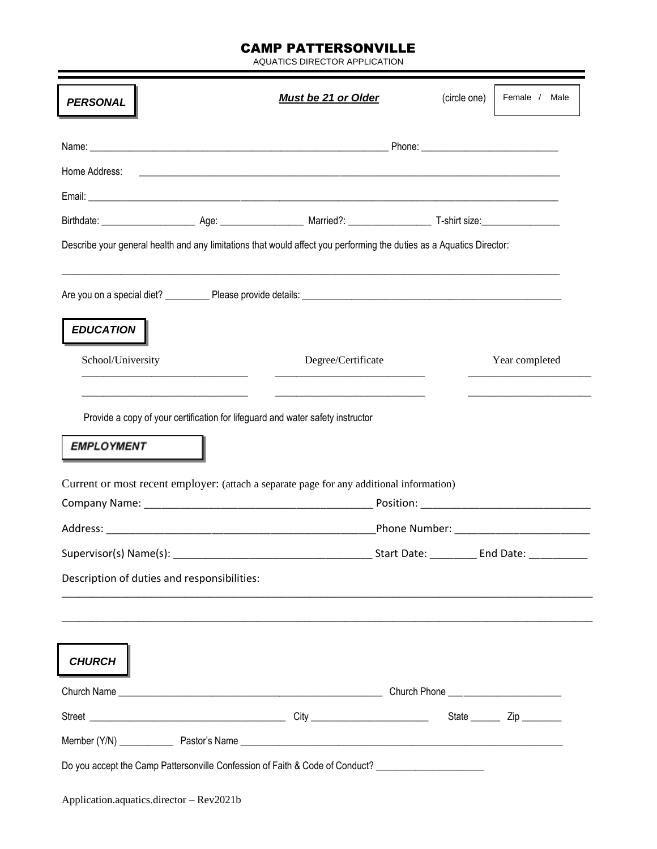## CAMP PATTERSONVILLE

AQUATICS DIRECTOR APPLICATION

| Home Address:                                                                                                        | <u> 1999 - Johann Harry Harry Harry Harry Harry Harry Harry Harry Harry Harry Harry Harry Harry Harry Harry Harry</u> |  |
|----------------------------------------------------------------------------------------------------------------------|-----------------------------------------------------------------------------------------------------------------------|--|
|                                                                                                                      |                                                                                                                       |  |
|                                                                                                                      |                                                                                                                       |  |
|                                                                                                                      |                                                                                                                       |  |
|                                                                                                                      |                                                                                                                       |  |
| Describe your general health and any limitations that would affect you performing the duties as a Aquatics Director: |                                                                                                                       |  |
|                                                                                                                      |                                                                                                                       |  |
| <b>EDUCATION</b>                                                                                                     |                                                                                                                       |  |
| School/University                                                                                                    | Degree/Certificate<br>Year completed                                                                                  |  |
| <b>EMPLOYMENT</b><br>Current or most recent employer: (attach a separate page for any additional information)        |                                                                                                                       |  |
|                                                                                                                      | Phone Number: _________________________                                                                               |  |
| Supervisor(s) Name(s):                                                                                               | Start Date:<br>End Date:                                                                                              |  |
|                                                                                                                      |                                                                                                                       |  |
| Description of duties and responsibilities:                                                                          |                                                                                                                       |  |
| <b>CHURCH</b>                                                                                                        |                                                                                                                       |  |
|                                                                                                                      |                                                                                                                       |  |
|                                                                                                                      |                                                                                                                       |  |